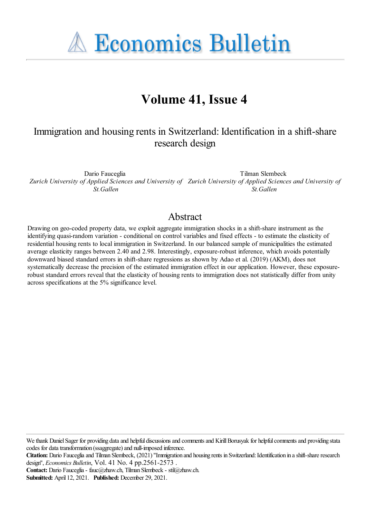**A Economics Bulletin** 

# **Volume 41, Issue 4**

## Immigration and housing rents in Switzerland: Identification in a shift-share research design

Dario Fauceglia *Zurich University of Applied Sciences and University of Zurich University of Applied Sciences and University of St.Gallen* Tilman Slembeck *St.Gallen*

#### Abstract

Drawing on geo-coded property data, we exploit aggregate immigration shocks in a shift-share instrument as the identifying quasi-random variation - conditional on control variables and fixed effects - to estimate the elasticity of residential housing rents to local immigration in Switzerland. In our balanced sample of municipalities the estimated average elasticity ranges between 2.40 and 2.98. Interestingly, exposure-robust inference, which avoids potentially downward biased standard errors in shift-share regressions as shown by Adao et al. (2019) (AKM), does not systematically decrease the precision of the estimated immigration effect in our application. However, these exposurerobust standard errors reveal that the elasticity of housing rents to immigration does not statistically differ from unity across specifications at the 5% significance level.

We thank Daniel Sager for providing data and helpful discussions and comments and Kirill Borusyak for helpful comments and providing stata codes for data transformation (ssaggregate) and null-imposed inference.

**Contact:** Dario Fauceglia- fauc@zhaw.ch, Tilman Slembeck - stil@zhaw.ch.

**Citation:** Dario Fauceglia and Tilman Slembeck, (2021) "Immigration and housing rents in Switzerland: Identification in a shift-share research design'', *Economics Bulletin*, Vol. 41 No. 4 pp.2561-2573 .

**Submitted:** April 12, 2021. **Published:** December 29, 2021.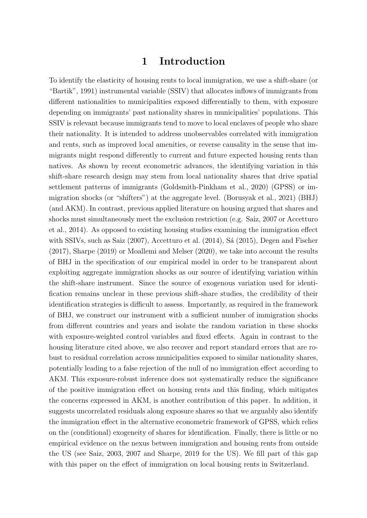## 1 Introduction

To identify the elasticity of housing rents to local immigration, we use a shift-share (or "Bartik", 1991) instrumental variable (SSIV) that allocates inflows of immigrants from different nationalities to municipalities exposed differentially to them, with exposure depending on immigrants' past nationality shares in municipalities' populations. This SSIV is relevant because immigrants tend to move to local enclaves of people who share their nationality. It is intended to address unobservables correlated with immigration and rents, such as improved local amenities, or reverse causality in the sense that immigrants might respond differently to current and future expected housing rents than natives. As shown by recent econometric advances, the identifying variation in this shift-share research design may stem from local nationality shares that drive spatial settlement patterns of immigrants (Goldsmith-Pinkham et al., 2020) (GPSS) or immigration shocks (or "shifters") at the aggregate level. (Borusyak et al., 2021) (BHJ) (and AKM). In contrast, previous applied literature on housing argued that shares and shocks must simultaneously meet the exclusion restriction (e.g. Saiz, 2007 or Accetturo et al., 2014). As opposed to existing housing studies examining the immigration effect with SSIVs, such as Saiz  $(2007)$ , Accetturo et al.  $(2014)$ , Sá  $(2015)$ , Degen and Fischer (2017), Sharpe (2019) or Moallemi and Melser (2020), we take into account the results of BHJ in the specification of our empirical model in order to be transparent about exploiting aggregate immigration shocks as our source of identifying variation within the shift-share instrument. Since the source of exogenous variation used for identification remains unclear in these previous shift-share studies, the credibility of their identification strategies is difficult to assess. Importantly, as required in the framework of BHJ, we construct our instrument with a sufficient number of immigration shocks from different countries and years and isolate the random variation in these shocks with exposure-weighted control variables and fixed effects. Again in contrast to the housing literature cited above, we also recover and report standard errors that are robust to residual correlation across municipalities exposed to similar nationality shares, potentially leading to a false rejection of the null of no immigration effect according to AKM. This exposure-robust inference does not systematically reduce the significance of the positive immigration effect on housing rents and this finding, which mitigates the concerns expressed in AKM, is another contribution of this paper. In addition, it suggests uncorrelated residuals along exposure shares so that we arguably also identify the immigration effect in the alternative econometric framework of GPSS, which relies on the (conditional) exogeneity of shares for identification. Finally, there is little or no empirical evidence on the nexus between immigration and housing rents from outside the US (see Saiz, 2003, 2007 and Sharpe, 2019 for the US). We fill part of this gap with this paper on the effect of immigration on local housing rents in Switzerland.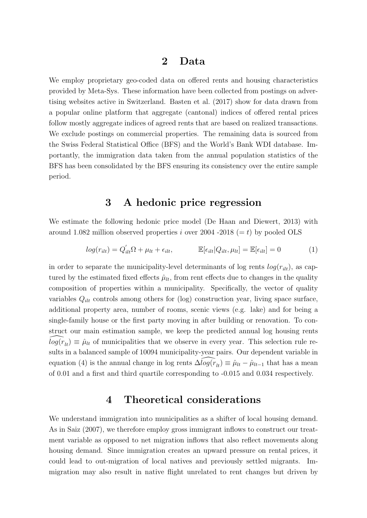## 2 Data

We employ proprietary geo-coded data on offered rents and housing characteristics provided by Meta-Sys. These information have been collected from postings on advertising websites active in Switzerland. Basten et al. (2017) show for data drawn from a popular online platform that aggregate (cantonal) indices of offered rental prices follow mostly aggregate indices of agreed rents that are based on realized transactions. We exclude postings on commercial properties. The remaining data is sourced from the Swiss Federal Statistical Office (BFS) and the World's Bank WDI database. Importantly, the immigration data taken from the annual population statistics of the BFS has been consolidated by the BFS ensuring its consistency over the entire sample period.

#### 3 A hedonic price regression

We estimate the following hedonic price model (De Haan and Diewert, 2013) with around 1.082 million observed properties i over 2004 -2018 ( $=$  t) by pooled OLS

$$
log(r_{ilt}) = Q'_{ilt}\Omega + \mu_{lt} + \epsilon_{ilt}, \qquad \mathbb{E}[\epsilon_{ilt}|Q_{ilt}, \mu_{lt}] = \mathbb{E}[\epsilon_{ilt}] = 0 \qquad (1)
$$

in order to separate the municipality-level determinants of log rents  $log(r_{it})$ , as captured by the estimated fixed effects  $\hat{\mu}_{lt}$ , from rent effects due to changes in the quality composition of properties within a municipality. Specifically, the vector of quality variables  $Q_{it}$  controls among others for (log) construction year, living space surface, additional property area, number of rooms, scenic views (e.g. lake) and for being a single-family house or the first party moving in after building or renovation. To construct our main estimation sample, we keep the predicted annual log housing rents  $log(r<sub>H</sub>) \equiv \hat{\mu}_{lt}$  of municipalities that we observe in every year. This selection rule results in a balanced sample of 10094 municipality-year pairs. Our dependent variable in equation (4) is the annual change in log rents  $\Delta log(r_{lt}) \equiv \hat{\mu}_{lt} - \hat{\mu}_{lt-1}$  that has a mean of 0.01 and a first and third quartile corresponding to -0.015 and 0.034 respectively.

#### 4 Theoretical considerations

We understand immigration into municipalities as a shifter of local housing demand. As in Saiz (2007), we therefore employ gross immigrant inflows to construct our treatment variable as opposed to net migration inflows that also reflect movements along housing demand. Since immigration creates an upward pressure on rental prices, it could lead to out-migration of local natives and previously settled migrants. Immigration may also result in native flight unrelated to rent changes but driven by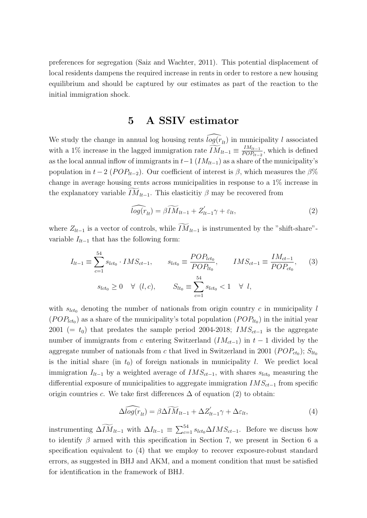preferences for segregation (Saiz and Wachter, 2011). This potential displacement of local residents dampens the required increase in rents in order to restore a new housing equilibrium and should be captured by our estimates as part of the reaction to the initial immigration shock.

### 5 A SSIV estimator

We study the change in annual log housing rents  $log(\widetilde{r}_{lt})$  in municipality l associated with a 1% increase in the lagged immigration rate  $\widetilde{IM}_{lt-1} \equiv \frac{IM_{lt-1}}{POP_{lt-1}}$  $\frac{P_{I}M_{I}t-1}{P_{I}P_{I}t-2}$ , which is defined as the local annual inflow of immigrants in  $t-1$  ( $IM_{lt-1}$ ) as a share of the municipality's population in  $t-2$  (POP<sub>lt−2</sub>). Our coefficient of interest is  $\beta$ , which measures the  $\beta$ % change in average housing rents across municipalities in response to a 1% increase in the explanatory variable  $IM_{lt-1}$ . This elasticitiy  $\beta$  may be recovered from

$$
\widehat{log(r_{lt})} = \beta \widetilde{IM}_{lt-1} + Z'_{lt-1} \gamma + \varepsilon_{lt},\tag{2}
$$

where  $Z_{lt-1}$  is a vector of controls, while  $\overline{IM}_{lt-1}$  is instrumented by the "shift-share"variable  $I_{lt-1}$  that has the following form:

$$
I_{lt-1} \equiv \sum_{c=1}^{54} s_{lct_0} \cdot IMS_{ct-1}, \qquad s_{lct_0} \equiv \frac{POP_{lct_0}}{POP_{lt_0}}, \qquad IMS_{ct-1} \equiv \frac{IM_{ct-1}}{POP_{ct_0}}, \qquad (3)
$$

$$
s_{lct_0} \ge 0 \quad \forall \ (l, c), \qquad S_{lt_0} \equiv \sum_{c=1}^{54} s_{lct_0} < 1 \quad \forall \ l,
$$

with  $s_{lct_0}$  denoting the number of nationals from origin country c in municipality l  $(POP_{lct_0})$  as a share of the municipality's total population  $(POP_{lt_0})$  in the initial year 2001 (= t<sub>0</sub>) that predates the sample period 2004-2018; IMS<sub>ct−1</sub> is the aggregate number of immigrants from c entering Switzerland  $(IM_{ct-1})$  in  $t-1$  divided by the aggregate number of nationals from c that lived in Switzerland in 2001 ( $POP_{ct_0}$ );  $S_{lt_0}$ is the initial share (in  $t_0$ ) of foreign nationals in municipality l. We predict local immigration  $I_{lt-1}$  by a weighted average of  $IMS_{ct-1}$ , with shares  $s_{lct_0}$  measuring the differential exposure of municipalities to aggregate immigration  $INS_{ct-1}$  from specific origin countries c. We take first differences  $\Delta$  of equation (2) to obtain:

$$
\widehat{\Delta log(r_{lt})} = \beta \widehat{\Delta IM_{lt-1}} + \Delta Z'_{lt-1} \gamma + \Delta \varepsilon_{lt}, \tag{4}
$$

instrumenting  $\Delta \widetilde{IM}_{lt-1}$  with  $\Delta I_{lt-1} \equiv \sum_{c=1}^{54} s_{lct_0} \Delta IMS_{ct-1}$ . Before we discuss how to identify  $\beta$  armed with this specification in Section 7, we present in Section 6 a specification equivalent to (4) that we employ to recover exposure-robust standard errors, as suggested in BHJ and AKM, and a moment condition that must be satisfied for identification in the framework of BHJ.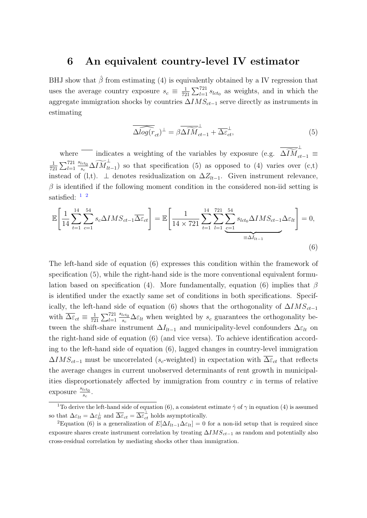#### 6 An equivalent country-level IV estimator

BHJ show that  $\hat{\beta}$  from estimating (4) is equivalently obtained by a IV regression that uses the average country exposure  $s_c \equiv \frac{1}{72}$  $\frac{1}{721} \sum_{l=1}^{721} s_{lct_0}$  as weights, and in which the aggregate immigration shocks by countries  $\Delta IMS_{ct-1}$  serve directly as instruments in estimating

$$
\widehat{\Delta log(r}_{ct})^{\perp} = \beta \widehat{\Delta IM}_{ct-1}^{\perp} + \overline{\Delta \varepsilon}_{ct}^{\perp},\tag{5}
$$

where indicates a weighting of the variables by exposure (e.g.  $\overrightarrow{\Delta IM}_{ct-1}$  = 1  $\frac{1}{721} \sum_{l=1}^{721} \frac{s_{lct_0}}{s_c}$  $\sum_{s_c}^{lct_0} \Delta \widetilde{IM}^{\perp}_{lt-1}$ ) so that specification (5) as opposed to (4) varies over (c,t) instead of (l,t). ⊥ denotes residualization on  $\Delta Z_{lt-1}$ . Given instrument relevance,  $\beta$  is identified if the following moment condition in the considered non-iid setting is satisfied:  $1^2$  $1^2$ 

$$
\mathbb{E}\left[\frac{1}{14}\sum_{t=1}^{14}\sum_{c=1}^{54} s_c \Delta IMS_{ct-1}\overline{\Delta \varepsilon}_{ct}\right] = \mathbb{E}\left[\frac{1}{14 \times 721}\sum_{t=1}^{14}\sum_{l=1}^{721}\sum_{c=1}^{54} s_{lct_0} \Delta IMS_{ct-1}\Delta \varepsilon_{lt}\right] = 0,
$$
\n
$$
\sum_{t=1}^{14} \sum_{l=1}^{14} \sum_{c=1}^{721} s_{lct_0} \Delta IMS_{ct-1}\Delta \varepsilon_{lt} \right] = 0,
$$
\n(6)

The left-hand side of equation (6) expresses this condition within the framework of specification (5), while the right-hand side is the more conventional equivalent formulation based on specification (4). More fundamentally, equation (6) implies that  $\beta$ is identified under the exactly same set of conditions in both specifications. Specifically, the left-hand side of equation (6) shows that the orthogonality of  $\Delta IMS_{ct-1}$ with  $\overline{\Delta \varepsilon}_{ct} \equiv \frac{1}{72}$  $rac{1}{721} \sum_{l=1}^{721} \frac{s_{lct_0}}{s_c}$  $\frac{\partial c t_0}{\partial s_c} \Delta \varepsilon_{lt}$  when weighted by  $s_c$  guarantees the orthogonality between the shift-share instrument  $\Delta I_{lt-1}$  and municipality-level confounders  $\Delta \varepsilon_{lt}$  on the right-hand side of equation (6) (and vice versa). To achieve identification according to the left-hand side of equation (6), lagged changes in country-level immigration  $\Delta IMS_{ct-1}$  must be uncorrelated (s<sub>c</sub>-weighted) in expectation with  $\overline{\Delta \varepsilon}_{ct}$  that reflects the average changes in current unobserved determinants of rent growth in municipalities disproportionately affected by immigration from country  $c$  in terms of relative exposure  $\frac{s_{lct_0}}{s}$  $\frac{lct_0}{s_c}$  .

<span id="page-4-0"></span><sup>&</sup>lt;sup>1</sup>To derive the left-hand side of equation (6), a consistent estimate  $\hat{\gamma}$  of  $\gamma$  in equation (4) is assumed so that  $\Delta \varepsilon_{lt} = \Delta \varepsilon_{lt}^{\perp}$  and  $\overline{\Delta \varepsilon}_{ct} = \overline{\Delta \varepsilon}_{ct}^{\perp}$  holds asymptotically.

<span id="page-4-1"></span><sup>&</sup>lt;sup>2</sup>Equation (6) is a generalization of  $E[\Delta I_{lt-1}\Delta \varepsilon_{lt}] = 0$  for a non-iid setup that is required since exposure shares create instrument correlation by treating  $\Delta IMS_{ct-1}$  as random and potentially also cross-residual correlation by mediating shocks other than immigration.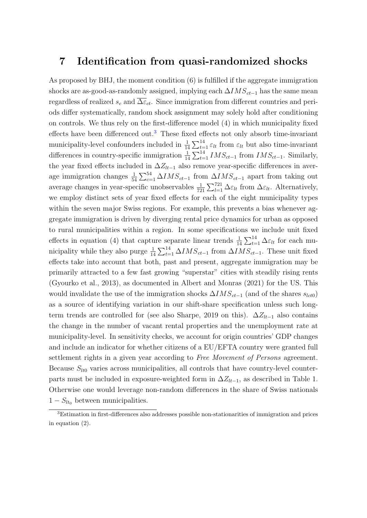### 7 Identification from quasi-randomized shocks

As proposed by BHJ, the moment condition (6) is fulfilled if the aggregate immigration shocks are as-good-as-randomly assigned, implying each  $\Delta IMS_{ct-1}$  has the same mean regardless of realized  $s_c$  and  $\Delta \varepsilon_{ct}$ . Since immigration from different countries and periods differ systematically, random shock assignment may solely hold after conditioning on controls. We thus rely on the first-difference model (4) in which municipality fixed effects have been differenced out.<sup>[3](#page-5-0)</sup> These fixed effects not only absorb time-invariant municipality-level confounders included in  $\frac{1}{14} \sum_{t=1}^{14} \varepsilon_{lt}$  from  $\varepsilon_{lt}$  but also time-invariant differences in country-specific immigration  $\frac{1}{14} \sum_{t=1}^{14} IMS_{ct-1}$  from  $IMS_{ct-1}$ . Similarly, the year fixed effects included in  $\Delta Z_{lt-1}$  also remove year-specific differences in average immigration changes  $\frac{1}{54} \sum_{c=1}^{54} \Delta I M S_{ct-1}$  from  $\Delta I M S_{ct-1}$  apart from taking out average changes in year-specific unobservables  $\frac{1}{721} \sum_{l=1}^{721} \Delta \varepsilon_{lt}$  from  $\Delta \varepsilon_{lt}$ . Alternatively, we employ distinct sets of year fixed effects for each of the eight municipality types within the seven major Swiss regions. For example, this prevents a bias whenever aggregate immigration is driven by diverging rental price dynamics for urban as opposed to rural municipalities within a region. In some specifications we include unit fixed effects in equation (4) that capture separate linear trends  $\frac{1}{14} \sum_{t=1}^{14} \Delta \varepsilon_{lt}$  for each municipality while they also purge  $\frac{1}{14} \sum_{t=1}^{14} \Delta IMS_{ct-1}$  from  $\Delta IMS_{ct-1}$ . These unit fixed effects take into account that both, past and present, aggregate immigration may be primarily attracted to a few fast growing "superstar" cities with steadily rising rents (Gyourko et al., 2013), as documented in Albert and Monras (2021) for the US. This would invalidate the use of the immigration shocks  $\Delta IMS_{ct-1}$  (and of the shares  $s_{lct0}$ ) as a source of identifying variation in our shift-share specification unless such longterm trends are controlled for (see also Sharpe, 2019 on this).  $\Delta Z_{lt-1}$  also contains the change in the number of vacant rental properties and the unemployment rate at municipality-level. In sensitivity checks, we account for origin countries' GDP changes and include an indicator for whether citizens of a EU/EFTA country were granted full settlement rights in a given year according to Free Movement of Persons agreement. Because  $S_{lt0}$  varies across municipalities, all controls that have country-level counterparts must be included in exposure-weighted form in  $\Delta Z_{lt-1}$ , as described in Table 1. Otherwise one would leverage non-random differences in the share of Swiss nationals  $1 - S_{lt_0}$  between municipalities.

<span id="page-5-0"></span><sup>3</sup>Estimation in first-differences also addresses possible non-stationarities of immigration and prices in equation (2).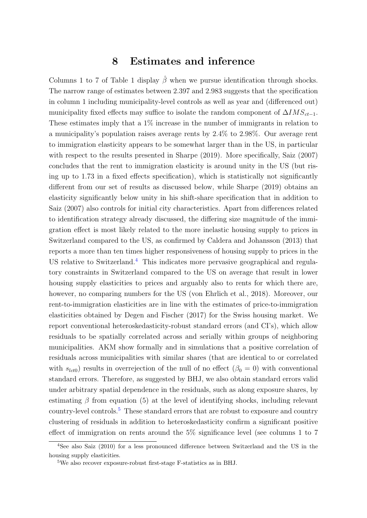### 8 Estimates and inference

Columns 1 to 7 of Table 1 display  $\hat{\beta}$  when we pursue identification through shocks. The narrow range of estimates between 2.397 and 2.983 suggests that the specification in column 1 including municipality-level controls as well as year and (differenced out) municipality fixed effects may suffice to isolate the random component of  $\Delta IMS_{ct-1}$ . These estimates imply that a 1% increase in the number of immigrants in relation to a municipality's population raises average rents by 2.4% to 2.98%. Our average rent to immigration elasticity appears to be somewhat larger than in the US, in particular with respect to the results presented in Sharpe  $(2019)$ . More specifically, Saiz  $(2007)$ concludes that the rent to immigration elasticity is around unity in the US (but rising up to 1.73 in a fixed effects specification), which is statistically not significantly different from our set of results as discussed below, while Sharpe (2019) obtains an elasticity significantly below unity in his shift-share specification that in addition to Saiz (2007) also controls for initial city characteristics. Apart from differences related to identification strategy already discussed, the differing size magnitude of the immigration effect is most likely related to the more inelastic housing supply to prices in Switzerland compared to the US, as confirmed by Caldera and Johansson (2013) that reports a more than ten times higher responsiveness of housing supply to prices in the US relative to Switzerland.[4](#page-6-0) This indicates more pervasive geographical and regulatory constraints in Switzerland compared to the US on average that result in lower housing supply elasticities to prices and arguably also to rents for which there are, however, no comparing numbers for the US (von Ehrlich et al., 2018). Moreover, our rent-to-immigration elasticities are in line with the estimates of price-to-immigration elasticities obtained by Degen and Fischer (2017) for the Swiss housing market. We report conventional heteroskedasticity-robust standard errors (and CI's), which allow residuals to be spatially correlated across and serially within groups of neighboring municipalities. AKM show formally and in simulations that a positive correlation of residuals across municipalities with similar shares (that are identical to or correlated with  $s_{lct0}$ ) results in overrejection of the null of no effect ( $\beta_0 = 0$ ) with conventional standard errors. Therefore, as suggested by BHJ, we also obtain standard errors valid under arbitrary spatial dependence in the residuals, such as along exposure shares, by estimating  $\beta$  from equation (5) at the level of identifying shocks, including relevant country-level controls.<sup>[5](#page-6-1)</sup> These standard errors that are robust to exposure and country clustering of residuals in addition to heteroskedasticity confirm a significant positive effect of immigration on rents around the 5% significance level (see columns 1 to 7

<span id="page-6-0"></span><sup>4</sup>See also Saiz (2010) for a less pronounced difference between Switzerland and the US in the housing supply elasticities.

<span id="page-6-1"></span><sup>5</sup>We also recover exposure-robust first-stage F-statistics as in BHJ.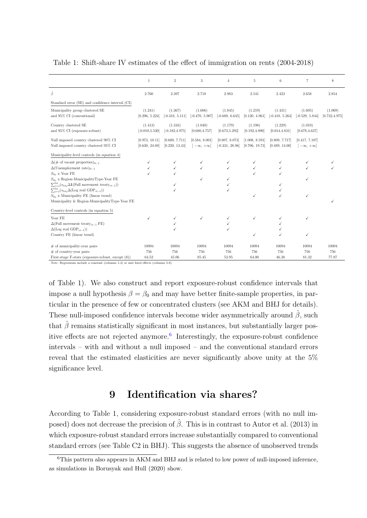|                                                                                     | 1                                | $\overline{2}$                   | $\boldsymbol{3}$                     | $\overline{4}$                      | $\sqrt{5}$                       | 6                                | $\overline{7}$                       | 8                         |
|-------------------------------------------------------------------------------------|----------------------------------|----------------------------------|--------------------------------------|-------------------------------------|----------------------------------|----------------------------------|--------------------------------------|---------------------------|
| β                                                                                   | 2.760                            | 2.397                            | 2.718                                | 2.983                               | 2.541                            | 2.423                            | 2.658                                | 2.854                     |
| Standard error (SE) and confidence interval (CI)                                    |                                  |                                  |                                      |                                     |                                  |                                  |                                      |                           |
| Municipality group clustered SE<br>and 95% CI (conventional)                        | (1.241)<br>[0.296, 5.224]        | (1.367)<br>$[-0.318, 5.111]$     | (1.606)<br>$[-0.470, 5.907]$         | (1.845)<br>$[-0.680, 6.645]$        | (1.219)<br>[0.120, 4.961]        | (1.431)<br>$[-0.418, 5.264]$     | (1.605)<br>$[-0.529, 5.844]$         | (1.069)<br>[0.732, 4.975] |
| Country clustered SE<br>and 95% CI (exposure-robust)                                | (1.413)<br>$[-0.010, 5.530]$     | (1.316)<br>$[-0.182, 4.975]$     | (1.040)<br>[0.680, 4.757]            | (1.179)<br>[0.673, 5.293]           | (1.198)<br>[0.192, 4.890]        | (1.229)<br>[0.014, 4.831]        | (1.010)<br>[0.678, 4.637]            |                           |
| Null imposed country clustered 90% CI<br>Null imposed country clustered 95% CI      | [0.973, 10.11]<br>[0.630, 24.69] | [0.600, 7.711]<br>[0.220, 13.43] | [0.584, 8.001]<br>$-\infty, +\infty$ | [0.807, 8.073]<br>$[-0.331, 28.96]$ | [1.008, 8.591]<br>[0.706, 19.73] | [0.809, 7.717]<br>[0.489, 14.00] | [0.417, 7.107]<br>$-\infty, +\infty$ |                           |
| Municipality-level controls (in equation 4)                                         |                                  |                                  |                                      |                                     |                                  |                                  |                                      |                           |
| $\Delta(\text{# of vacant properties})_{lt-1}$                                      | ✓                                | ✓                                | ✓                                    | √                                   | ✓                                |                                  | ✓                                    |                           |
| $\Delta$ (Unemployment rate) <sub>tt-1</sub>                                        |                                  |                                  |                                      |                                     |                                  |                                  |                                      |                           |
| $S_{lt_0}$ x Year FE                                                                |                                  |                                  |                                      |                                     |                                  |                                  |                                      |                           |
| $S_{lto}$ x Region-Municipality Type-Year FE                                        |                                  |                                  | ✓                                    |                                     |                                  |                                  | √                                    |                           |
| $\sum_{c=1}^{54} (s_{lct_0} \Delta \mathbf{1}(\text{Full movement treaty}_{ct-1}))$ |                                  |                                  |                                      |                                     |                                  | √                                |                                      |                           |
| $\sum_{c=1}^{54} (s_{lct_0} \Delta ($ Log real GDP $_{ct-1})$ )                     |                                  |                                  |                                      | ✓                                   |                                  |                                  |                                      |                           |
| $S_{lto}$ x Municipality FE (linear trend)                                          |                                  |                                  |                                      |                                     | ✓                                |                                  | ✓                                    |                           |
| Municipality & Region-MunicipalityType-Year FE                                      |                                  |                                  |                                      |                                     |                                  |                                  |                                      |                           |
| Country-level controls (in equation 5)                                              |                                  |                                  |                                      |                                     |                                  |                                  |                                      |                           |
| Year FE                                                                             |                                  |                                  | ✓                                    | ✓                                   | ✓                                |                                  | ✓                                    |                           |
| $\Delta$ (Full movement treaty <sub>ct-1</sub> FE)                                  |                                  |                                  |                                      |                                     |                                  |                                  |                                      |                           |
| $\Delta(\text{Log real GDP}_{ct-1}))$                                               |                                  |                                  |                                      | √                                   |                                  |                                  |                                      |                           |
| Country FE (linear trend)                                                           |                                  |                                  |                                      |                                     | ✓                                |                                  | ✓                                    |                           |
| $#$ of municipality-year pairs                                                      | 10094                            | 10094                            | 10094                                | 10094                               | 10094                            | 10094                            | 10094                                | 10094                     |
| $#$ of country-year pairs                                                           | 756                              | 756                              | 756                                  | 756                                 | 756                              | 756                              | 756                                  | 756                       |
| First-stage F-stats (exposure-robust, except (8))                                   | 64.52                            | 45.06                            | 85.45                                | 53.95                               | 64.00                            | 46.38                            | 81.32                                | 77.87                     |

Table 1: Shift-share IV estimates of the effect of immigration on rents (2004-2018)

Note: Regressions include a constant (columns 1-4) or unit fixed effects (columns 5-8).

of Table 1). We also construct and report exposure-robust confidence intervals that impose a null hypothesis  $\beta = \beta_0$  and may have better finite-sample properties, in particular in the presence of few or concentrated clusters (see AKM and BHJ for details). These null-imposed confidence intervals become wider asymmetrically around  $\hat{\beta}$ , such that  $\hat{\beta}$  remains statistically significant in most instances, but substantially larger pos-itive effects are not rejected anymore.<sup>[6](#page-7-0)</sup> Interestingly, the exposure-robust confidence intervals – with and without a null imposed – and the conventional standard errors reveal that the estimated elasticities are never significantly above unity at the 5% significance level.

## 9 Identification via shares?

According to Table 1, considering exposure-robust standard errors (with no null imposed) does not decrease the precision of  $\hat{\beta}$ . This is in contrast to Autor et al. (2013) in which exposure-robust standard errors increase substantially compared to conventional standard errors (see Table C2 in BHJ). This suggests the absence of unobserved trends

<span id="page-7-0"></span> $\overline{6}$ This pattern also appears in AKM and BHJ and is related to low power of null-imposed inference, as simulations in Borusyak and Hull (2020) show.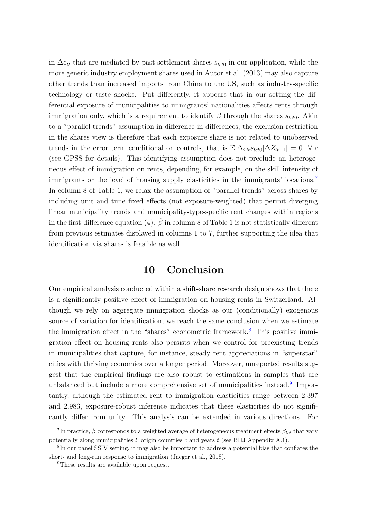in  $\Delta \varepsilon_{lt}$  that are mediated by past settlement shares  $s_{lct0}$  in our application, while the more generic industry employment shares used in Autor et al. (2013) may also capture other trends than increased imports from China to the US, such as industry-specific technology or taste shocks. Put differently, it appears that in our setting the differential exposure of municipalities to immigrants' nationalities affects rents through immigration only, which is a requirement to identify  $\beta$  through the shares  $s_{lct0}$ . Akin to a "parallel trends" assumption in difference-in-differences, the exclusion restriction in the shares view is therefore that each exposure share is not related to unobserved trends in the error term conditional on controls, that is  $\mathbb{E}[\Delta \varepsilon_{lt} s_{lct0} | \Delta Z_{lt-1}] = 0 \ \ \forall \ c$ (see GPSS for details). This identifying assumption does not preclude an heterogeneous effect of immigration on rents, depending, for example, on the skill intensity of immigrants or the level of housing supply elasticities in the immigrants' locations.[7](#page-8-0) In column 8 of Table 1, we relax the assumption of "parallel trends" across shares by including unit and time fixed effects (not exposure-weighted) that permit diverging linear municipality trends and municipality-type-specific rent changes within regions in the first-difference equation (4).  $\hat{\beta}$  in column 8 of Table 1 is not statistically different from previous estimates displayed in columns 1 to 7, further supporting the idea that identification via shares is feasible as well.

## 10 Conclusion

Our empirical analysis conducted within a shift-share research design shows that there is a significantly positive effect of immigration on housing rents in Switzerland. Although we rely on aggregate immigration shocks as our (conditionally) exogenous source of variation for identification, we reach the same conclusion when we estimate the immigration effect in the "shares" econometric framework.<sup>[8](#page-8-1)</sup> This positive immigration effect on housing rents also persists when we control for preexisting trends in municipalities that capture, for instance, steady rent appreciations in "superstar" cities with thriving economies over a longer period. Moreover, unreported results suggest that the empirical findings are also robust to estimations in samples that are unbalanced but include a more comprehensive set of municipalities instead.<sup>[9](#page-8-2)</sup> Importantly, although the estimated rent to immigration elasticities range between 2.397 and 2.983, exposure-robust inference indicates that these elasticities do not significantly differ from unity. This analysis can be extended in various directions. For

<span id="page-8-0"></span><sup>&</sup>lt;sup>7</sup>In practice,  $\hat{\beta}$  corresponds to a weighted average of heterogeneous treatment effects  $\beta_{lct}$  that vary potentially along municipalities  $l$ , origin countries  $c$  and years  $t$  (see BHJ Appendix A.1).

<span id="page-8-1"></span><sup>&</sup>lt;sup>8</sup>In our panel SSIV setting, it may also be important to address a potential bias that conflates the short- and long-run response to immigration (Jaeger et al., 2018).

<span id="page-8-2"></span><sup>&</sup>lt;sup>9</sup>These results are available upon request.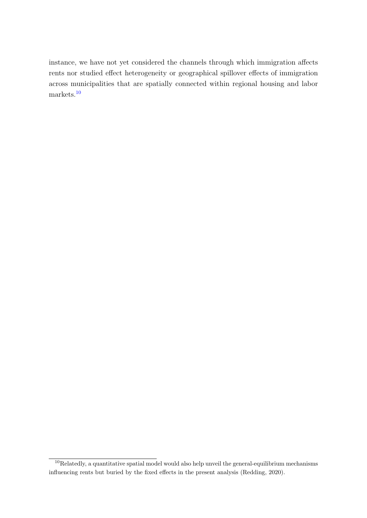instance, we have not yet considered the channels through which immigration affects rents nor studied effect heterogeneity or geographical spillover effects of immigration across municipalities that are spatially connected within regional housing and labor markets.[10](#page-9-0)

<span id="page-9-0"></span> $\frac{10}{10}$ Relatedly, a quantitative spatial model would also help unveil the general-equilibrium mechanisms influencing rents but buried by the fixed effects in the present analysis (Redding, 2020).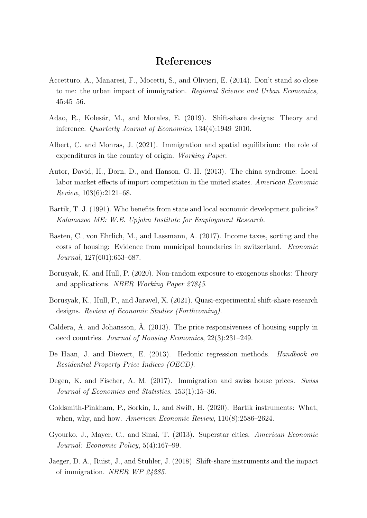## References

- Accetturo, A., Manaresi, F., Mocetti, S., and Olivieri, E. (2014). Don't stand so close to me: the urban impact of immigration. Regional Science and Urban Economics, 45:45–56.
- Adao, R., Kolesár, M., and Morales, E. (2019). Shift-share designs: Theory and inference. Quarterly Journal of Economics, 134(4):1949–2010.
- Albert, C. and Monras, J. (2021). Immigration and spatial equilibrium: the role of expenditures in the country of origin. Working Paper.
- Autor, David, H., Dorn, D., and Hanson, G. H. (2013). The china syndrome: Local labor market effects of import competition in the united states. American Economic Review, 103(6):2121–68.
- Bartik, T. J. (1991). Who benefits from state and local economic development policies? Kalamazoo ME: W.E. Upjohn Institute for Employment Research.
- Basten, C., von Ehrlich, M., and Lassmann, A. (2017). Income taxes, sorting and the costs of housing: Evidence from municipal boundaries in switzerland. Economic Journal, 127(601):653–687.
- Borusyak, K. and Hull, P. (2020). Non-random exposure to exogenous shocks: Theory and applications. NBER Working Paper 27845.
- Borusyak, K., Hull, P., and Jaravel, X. (2021). Quasi-experimental shift-share research designs. Review of Economic Studies (Forthcoming).
- Caldera, A. and Johansson,  $\AA$ . (2013). The price responsiveness of housing supply in oecd countries. Journal of Housing Economics, 22(3):231–249.
- De Haan, J. and Diewert, E. (2013). Hedonic regression methods. Handbook on Residential Property Price Indices (OECD).
- Degen, K. and Fischer, A. M. (2017). Immigration and swiss house prices. Swiss Journal of Economics and Statistics, 153(1):15–36.
- Goldsmith-Pinkham, P., Sorkin, I., and Swift, H. (2020). Bartik instruments: What, when, why, and how. *American Economic Review*,  $110(8):2586-2624$ .
- Gyourko, J., Mayer, C., and Sinai, T. (2013). Superstar cities. American Economic Journal: Economic Policy, 5(4):167–99.
- Jaeger, D. A., Ruist, J., and Stuhler, J. (2018). Shift-share instruments and the impact of immigration. NBER WP 24285.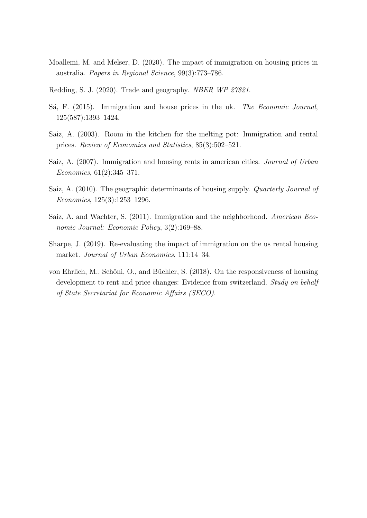- Moallemi, M. and Melser, D. (2020). The impact of immigration on housing prices in australia. Papers in Regional Science, 99(3):773–786.
- Redding, S. J. (2020). Trade and geography. NBER WP 27821.
- Sá, F. (2015). Immigration and house prices in the uk. The Economic Journal, 125(587):1393–1424.
- Saiz, A. (2003). Room in the kitchen for the melting pot: Immigration and rental prices. Review of Economics and Statistics, 85(3):502–521.
- Saiz, A. (2007). Immigration and housing rents in american cities. Journal of Urban Economics, 61(2):345–371.
- Saiz, A. (2010). The geographic determinants of housing supply. Quarterly Journal of Economics, 125(3):1253–1296.
- Saiz, A. and Wachter, S. (2011). Immigration and the neighborhood. American Economic Journal: Economic Policy, 3(2):169–88.
- Sharpe, J. (2019). Re-evaluating the impact of immigration on the us rental housing market. Journal of Urban Economics, 111:14–34.
- von Ehrlich, M., Schöni, O., and Büchler, S. (2018). On the responsiveness of housing development to rent and price changes: Evidence from switzerland. Study on behalf of State Secretariat for Economic Affairs (SECO).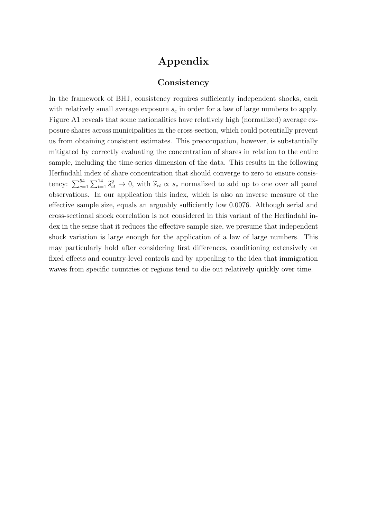## Appendix

#### **Consistency**

In the framework of BHJ, consistency requires sufficiently independent shocks, each with relatively small average exposure  $s_c$  in order for a law of large numbers to apply. Figure A1 reveals that some nationalities have relatively high (normalized) average exposure shares across municipalities in the cross-section, which could potentially prevent us from obtaining consistent estimates. This preoccupation, however, is substantially mitigated by correctly evaluating the concentration of shares in relation to the entire sample, including the time-series dimension of the data. This results in the following Herfindahl index of share concentration that should converge to zero to ensure consistency:  $\sum_{c=1}^{54} \sum_{t=1}^{14} \tilde{s}_{ct}^2 \to 0$ , with  $\tilde{s}_{ct} \propto s_c$  normalized to add up to one over all panel observations. In our application this index, which is also an inverse measure of the effective sample size, equals an arguably sufficiently low 0.0076. Although serial and cross-sectional shock correlation is not considered in this variant of the Herfindahl index in the sense that it reduces the effective sample size, we presume that independent shock variation is large enough for the application of a law of large numbers. This may particularly hold after considering first differences, conditioning extensively on fixed effects and country-level controls and by appealing to the idea that immigration waves from specific countries or regions tend to die out relatively quickly over time.